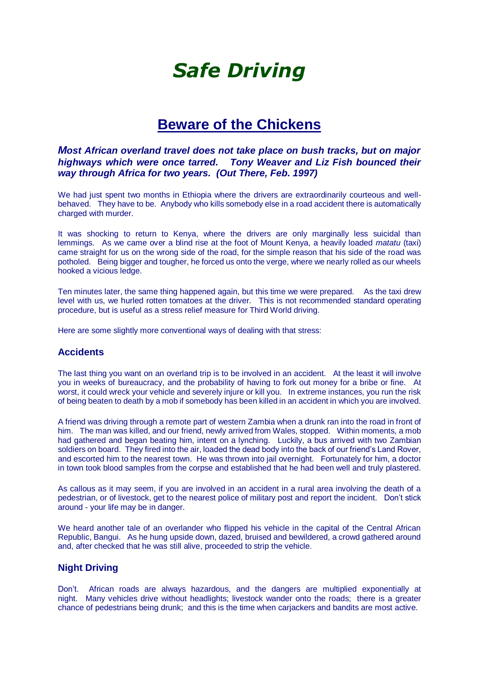# *Safe Driving*

# **Beware of the Chickens**

*Most African overland travel does not take place on bush tracks, but on major highways which were once tarred. Tony Weaver and Liz Fish bounced their way through Africa for two years. (Out There, Feb. 1997)*

We had just spent two months in Ethiopia where the drivers are extraordinarily courteous and wellbehaved. They have to be. Anybody who kills somebody else in a road accident there is automatically charged with murder.

It was shocking to return to Kenya, where the drivers are only marginally less suicidal than lemmings. As we came over a blind rise at the foot of Mount Kenya, a heavily loaded *matatu* (taxi) came straight for us on the wrong side of the road, for the simple reason that his side of the road was potholed. Being bigger and tougher, he forced us onto the verge, where we nearly rolled as our wheels hooked a vicious ledge.

Ten minutes later, the same thing happened again, but this time we were prepared. As the taxi drew level with us, we hurled rotten tomatoes at the driver. This is not recommended standard operating procedure, but is useful as a stress relief measure for Third World driving.

Here are some slightly more conventional ways of dealing with that stress:

#### **Accidents**

The last thing you want on an overland trip is to be involved in an accident. At the least it will involve you in weeks of bureaucracy, and the probability of having to fork out money for a bribe or fine. At worst, it could wreck your vehicle and severely injure or kill you. In extreme instances, you run the risk of being beaten to death by a mob if somebody has been killed in an accident in which you are involved.

A friend was driving through a remote part of western Zambia when a drunk ran into the road in front of him. The man was killed, and our friend, newly arrived from Wales, stopped. Within moments, a mob had gathered and began beating him, intent on a lynching. Luckily, a bus arrived with two Zambian soldiers on board. They fired into the air, loaded the dead body into the back of our friend's Land Rover, and escorted him to the nearest town. He was thrown into jail overnight. Fortunately for him, a doctor in town took blood samples from the corpse and established that he had been well and truly plastered.

As callous as it may seem, if you are involved in an accident in a rural area involving the death of a pedestrian, or of livestock, get to the nearest police of military post and report the incident. Don't stick around - your life may be in danger.

We heard another tale of an overlander who flipped his vehicle in the capital of the Central African Republic, Bangui. As he hung upside down, dazed, bruised and bewildered, a crowd gathered around and, after checked that he was still alive, proceeded to strip the vehicle.

## **Night Driving**

Don't. African roads are always hazardous, and the dangers are multiplied exponentially at night. Many vehicles drive without headlights; livestock wander onto the roads; there is a greater chance of pedestrians being drunk; and this is the time when carjackers and bandits are most active.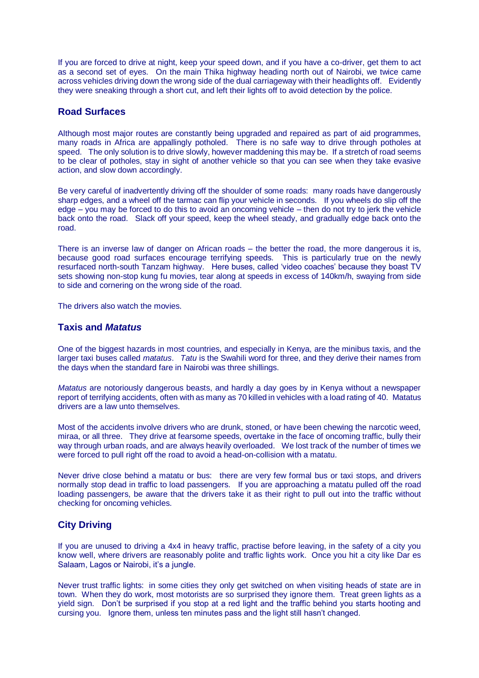If you are forced to drive at night, keep your speed down, and if you have a co-driver, get them to act as a second set of eyes. On the main Thika highway heading north out of Nairobi, we twice came across vehicles driving down the wrong side of the dual carriageway with their headlights off. Evidently they were sneaking through a short cut, and left their lights off to avoid detection by the police.

#### **Road Surfaces**

Although most major routes are constantly being upgraded and repaired as part of aid programmes, many roads in Africa are appallingly potholed. There is no safe way to drive through potholes at speed. The only solution is to drive slowly, however maddening this may be. If a stretch of road seems to be clear of potholes, stay in sight of another vehicle so that you can see when they take evasive action, and slow down accordingly.

Be very careful of inadvertently driving off the shoulder of some roads: many roads have dangerously sharp edges, and a wheel off the tarmac can flip your vehicle in seconds. If you wheels do slip off the edge – you may be forced to do this to avoid an oncoming vehicle – then do not try to jerk the vehicle back onto the road. Slack off your speed, keep the wheel steady, and gradually edge back onto the road.

There is an inverse law of danger on African roads – the better the road, the more dangerous it is, because good road surfaces encourage terrifying speeds. This is particularly true on the newly resurfaced north-south Tanzam highway. Here buses, called 'video coaches' because they boast TV sets showing non-stop kung fu movies, tear along at speeds in excess of 140km/h, swaying from side to side and cornering on the wrong side of the road.

The drivers also watch the movies.

#### **Taxis and** *Matatus*

One of the biggest hazards in most countries, and especially in Kenya, are the minibus taxis, and the larger taxi buses called *matatus*. *Tatu* is the Swahili word for three, and they derive their names from the days when the standard fare in Nairobi was three shillings.

*Matatus* are notoriously dangerous beasts, and hardly a day goes by in Kenya without a newspaper report of terrifying accidents, often with as many as 70 killed in vehicles with a load rating of 40. Matatus drivers are a law unto themselves.

Most of the accidents involve drivers who are drunk, stoned, or have been chewing the narcotic weed, miraa, or all three. They drive at fearsome speeds, overtake in the face of oncoming traffic, bully their way through urban roads, and are always heavily overloaded. We lost track of the number of times we were forced to pull right off the road to avoid a head-on-collision with a matatu.

Never drive close behind a matatu or bus: there are very few formal bus or taxi stops, and drivers normally stop dead in traffic to load passengers. If you are approaching a matatu pulled off the road loading passengers, be aware that the drivers take it as their right to pull out into the traffic without checking for oncoming vehicles.

## **City Driving**

If you are unused to driving a 4x4 in heavy traffic, practise before leaving, in the safety of a city you know well, where drivers are reasonably polite and traffic lights work. Once you hit a city like Dar es Salaam, Lagos or Nairobi, it's a jungle.

Never trust traffic lights: in some cities they only get switched on when visiting heads of state are in town. When they do work, most motorists are so surprised they ignore them. Treat green lights as a yield sign. Don't be surprised if you stop at a red light and the traffic behind you starts hooting and cursing you. Ignore them, unless ten minutes pass and the light still hasn't changed.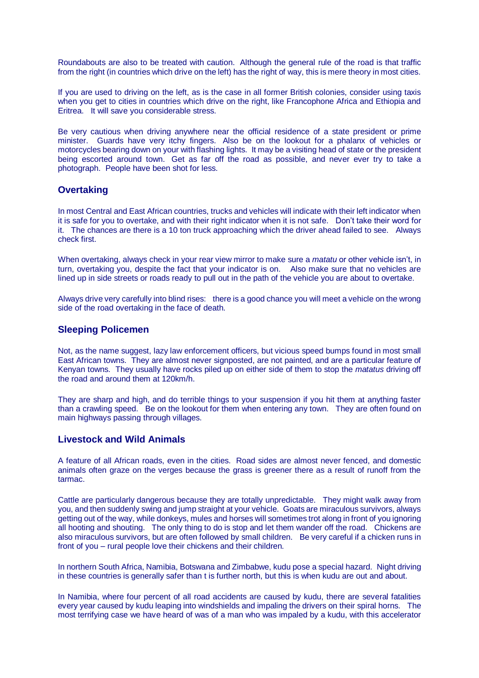Roundabouts are also to be treated with caution. Although the general rule of the road is that traffic from the right (in countries which drive on the left) has the right of way, this is mere theory in most cities.

If you are used to driving on the left, as is the case in all former British colonies, consider using taxis when you get to cities in countries which drive on the right, like Francophone Africa and Ethiopia and Eritrea. It will save you considerable stress.

Be very cautious when driving anywhere near the official residence of a state president or prime minister. Guards have very itchy fingers. Also be on the lookout for a phalanx of vehicles or motorcycles bearing down on your with flashing lights. It may be a visiting head of state or the president being escorted around town. Get as far off the road as possible, and never ever try to take a photograph. People have been shot for less.

#### **Overtaking**

In most Central and East African countries, trucks and vehicles will indicate with their left indicator when it is safe for you to overtake, and with their right indicator when it is not safe. Don't take their word for it. The chances are there is a 10 ton truck approaching which the driver ahead failed to see. Always check first.

When overtaking, always check in your rear view mirror to make sure a *matatu* or other vehicle isn't, in turn, overtaking you, despite the fact that your indicator is on. Also make sure that no vehicles are lined up in side streets or roads ready to pull out in the path of the vehicle you are about to overtake.

Always drive very carefully into blind rises: there is a good chance you will meet a vehicle on the wrong side of the road overtaking in the face of death.

#### **Sleeping Policemen**

Not, as the name suggest, lazy law enforcement officers, but vicious speed bumps found in most small East African towns. They are almost never signposted, are not painted, and are a particular feature of Kenyan towns. They usually have rocks piled up on either side of them to stop the *matatus* driving off the road and around them at 120km/h.

They are sharp and high, and do terrible things to your suspension if you hit them at anything faster than a crawling speed. Be on the lookout for them when entering any town. They are often found on main highways passing through villages.

#### **Livestock and Wild Animals**

A feature of all African roads, even in the cities. Road sides are almost never fenced, and domestic animals often graze on the verges because the grass is greener there as a result of runoff from the tarmac.

Cattle are particularly dangerous because they are totally unpredictable. They might walk away from you, and then suddenly swing and jump straight at your vehicle. Goats are miraculous survivors, always getting out of the way, while donkeys, mules and horses will sometimes trot along in front of you ignoring all hooting and shouting. The only thing to do is stop and let them wander off the road. Chickens are also miraculous survivors, but are often followed by small children. Be very careful if a chicken runs in front of you – rural people love their chickens and their children.

In northern South Africa, Namibia, Botswana and Zimbabwe, kudu pose a special hazard. Night driving in these countries is generally safer than t is further north, but this is when kudu are out and about.

In Namibia, where four percent of all road accidents are caused by kudu, there are several fatalities every year caused by kudu leaping into windshields and impaling the drivers on their spiral horns. The most terrifying case we have heard of was of a man who was impaled by a kudu, with this accelerator